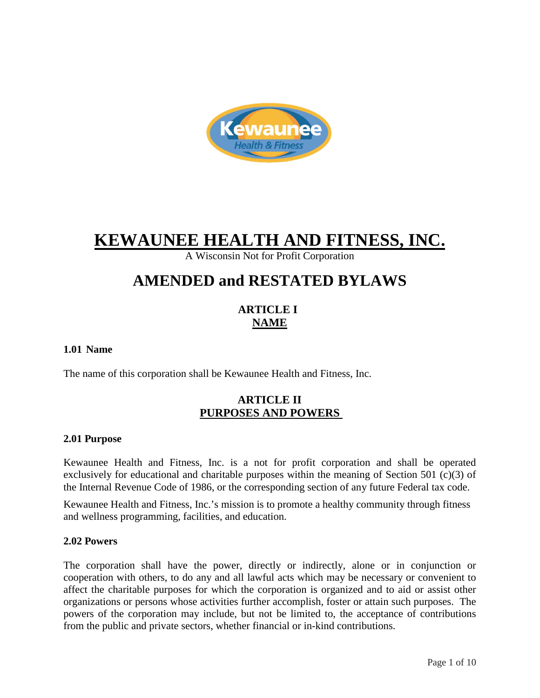

# **KEWAUNEE HEALTH AND FITNESS, INC.**

A Wisconsin Not for Profit Corporation

# **AMENDED and RESTATED BYLAWS**

# **ARTICLE I NAME**

### **1.01 Name**

The name of this corporation shall be Kewaunee Health and Fitness, Inc.

# **ARTICLE II PURPOSES AND POWERS**

### **2.01 Purpose**

Kewaunee Health and Fitness, Inc. is a not for profit corporation and shall be operated exclusively for educational and charitable purposes within the meaning of Section 501 (c)(3) of the Internal Revenue Code of 1986, or the corresponding section of any future Federal tax code.

Kewaunee Health and Fitness, Inc.'s mission is to promote a healthy community through fitness and wellness programming, facilities, and education.

#### **2.02 Powers**

The corporation shall have the power, directly or indirectly, alone or in conjunction or cooperation with others, to do any and all lawful acts which may be necessary or convenient to affect the charitable purposes for which the corporation is organized and to aid or assist other organizations or persons whose activities further accomplish, foster or attain such purposes. The powers of the corporation may include, but not be limited to, the acceptance of contributions from the public and private sectors, whether financial or in-kind contributions.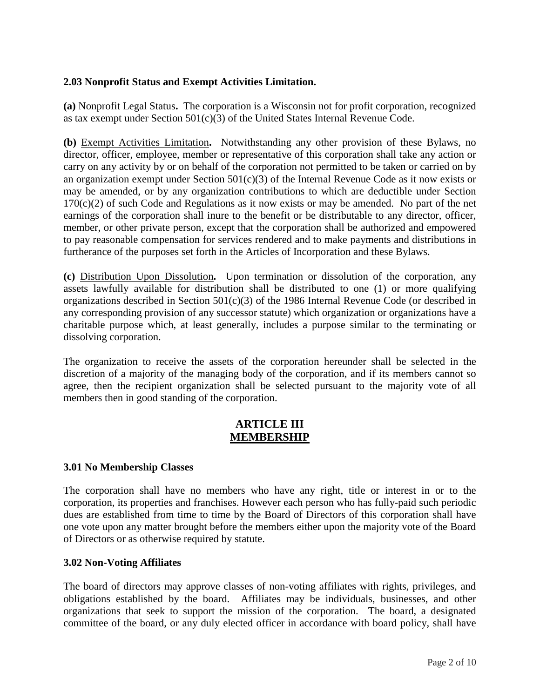### **2.03 Nonprofit Status and Exempt Activities Limitation.**

**(a)** Nonprofit Legal Status**.** The corporation is a Wisconsin not for profit corporation, recognized as tax exempt under Section 501(c)(3) of the United States Internal Revenue Code.

**(b)** Exempt Activities Limitation**.** Notwithstanding any other provision of these Bylaws, no director, officer, employee, member or representative of this corporation shall take any action or carry on any activity by or on behalf of the corporation not permitted to be taken or carried on by an organization exempt under Section 501(c)(3) of the Internal Revenue Code as it now exists or may be amended, or by any organization contributions to which are deductible under Section  $170(c)(2)$  of such Code and Regulations as it now exists or may be amended. No part of the net earnings of the corporation shall inure to the benefit or be distributable to any director, officer, member, or other private person, except that the corporation shall be authorized and empowered to pay reasonable compensation for services rendered and to make payments and distributions in furtherance of the purposes set forth in the Articles of Incorporation and these Bylaws.

**(c)** Distribution Upon Dissolution**.** Upon termination or dissolution of the corporation, any assets lawfully available for distribution shall be distributed to one (1) or more qualifying organizations described in Section 501(c)(3) of the 1986 Internal Revenue Code (or described in any corresponding provision of any successor statute) which organization or organizations have a charitable purpose which, at least generally, includes a purpose similar to the terminating or dissolving corporation.

The organization to receive the assets of the corporation hereunder shall be selected in the discretion of a majority of the managing body of the corporation, and if its members cannot so agree, then the recipient organization shall be selected pursuant to the majority vote of all members then in good standing of the corporation.

### **ARTICLE III MEMBERSHIP**

### **3.01 No Membership Classes**

The corporation shall have no members who have any right, title or interest in or to the corporation, its properties and franchises. However each person who has fully-paid such periodic dues are established from time to time by the Board of Directors of this corporation shall have one vote upon any matter brought before the members either upon the majority vote of the Board of Directors or as otherwise required by statute.

### **3.02 Non-Voting Affiliates**

The board of directors may approve classes of non-voting affiliates with rights, privileges, and obligations established by the board. Affiliates may be individuals, businesses, and other organizations that seek to support the mission of the corporation. The board, a designated committee of the board, or any duly elected officer in accordance with board policy, shall have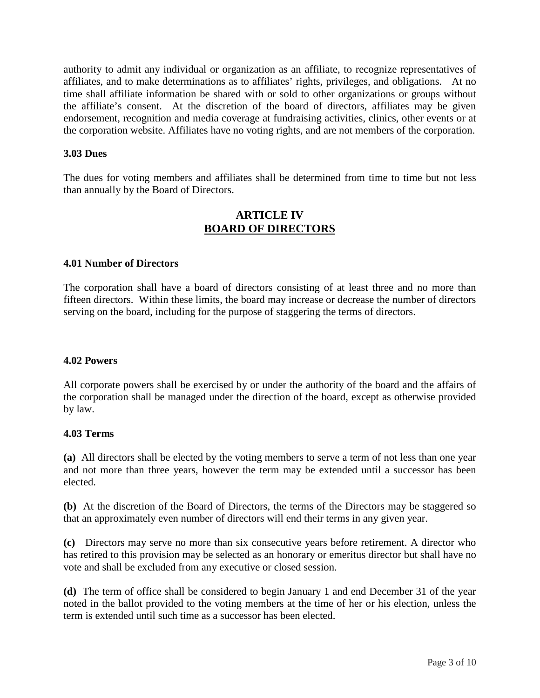authority to admit any individual or organization as an affiliate, to recognize representatives of affiliates, and to make determinations as to affiliates' rights, privileges, and obligations. At no time shall affiliate information be shared with or sold to other organizations or groups without the affiliate's consent. At the discretion of the board of directors, affiliates may be given endorsement, recognition and media coverage at fundraising activities, clinics, other events or at the corporation website. Affiliates have no voting rights, and are not members of the corporation.

#### **3.03 Dues**

The dues for voting members and affiliates shall be determined from time to time but not less than annually by the Board of Directors.

# **ARTICLE IV BOARD OF DIRECTORS**

#### **4.01 Number of Directors**

The corporation shall have a board of directors consisting of at least three and no more than fifteen directors. Within these limits, the board may increase or decrease the number of directors serving on the board, including for the purpose of staggering the terms of directors.

#### **4.02 Powers**

All corporate powers shall be exercised by or under the authority of the board and the affairs of the corporation shall be managed under the direction of the board, except as otherwise provided by law.

#### **4.03 Terms**

**(a)** All directors shall be elected by the voting members to serve a term of not less than one year and not more than three years, however the term may be extended until a successor has been elected.

**(b)** At the discretion of the Board of Directors, the terms of the Directors may be staggered so that an approximately even number of directors will end their terms in any given year.

**(c)** Directors may serve no more than six consecutive years before retirement. A director who has retired to this provision may be selected as an honorary or emeritus director but shall have no vote and shall be excluded from any executive or closed session.

**(d)** The term of office shall be considered to begin January 1 and end December 31 of the year noted in the ballot provided to the voting members at the time of her or his election, unless the term is extended until such time as a successor has been elected.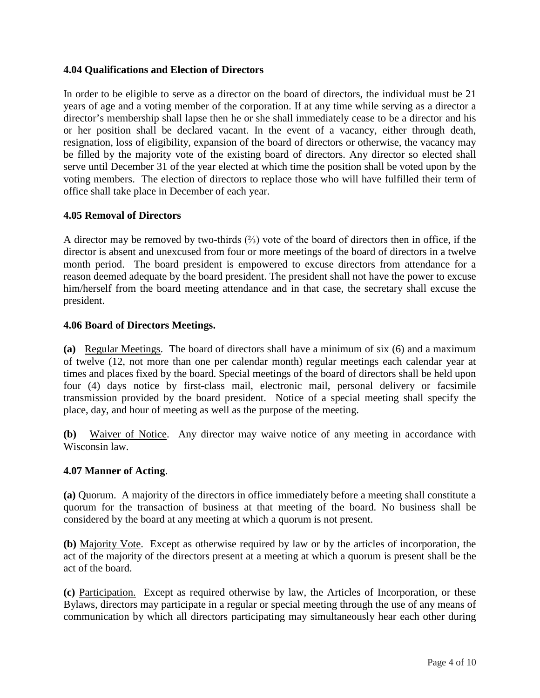### **4.04 Qualifications and Election of Directors**

In order to be eligible to serve as a director on the board of directors, the individual must be 21 years of age and a voting member of the corporation. If at any time while serving as a director a director's membership shall lapse then he or she shall immediately cease to be a director and his or her position shall be declared vacant. In the event of a vacancy, either through death, resignation, loss of eligibility, expansion of the board of directors or otherwise, the vacancy may be filled by the majority vote of the existing board of directors. Any director so elected shall serve until December 31 of the year elected at which time the position shall be voted upon by the voting members. The election of directors to replace those who will have fulfilled their term of office shall take place in December of each year.

### **4.05 Removal of Directors**

A director may be removed by two-thirds (⅔) vote of the board of directors then in office, if the director is absent and unexcused from four or more meetings of the board of directors in a twelve month period. The board president is empowered to excuse directors from attendance for a reason deemed adequate by the board president. The president shall not have the power to excuse him/herself from the board meeting attendance and in that case, the secretary shall excuse the president.

### **4.06 Board of Directors Meetings.**

**(a)** Regular Meetings. The board of directors shall have a minimum of six (6) and a maximum of twelve (12, not more than one per calendar month) regular meetings each calendar year at times and places fixed by the board. Special meetings of the board of directors shall be held upon four (4) days notice by first-class mail, electronic mail, personal delivery or facsimile transmission provided by the board president. Notice of a special meeting shall specify the place, day, and hour of meeting as well as the purpose of the meeting.

**(b)** Waiver of Notice. Any director may waive notice of any meeting in accordance with Wisconsin law.

### **4.07 Manner of Acting**.

**(a)** Quorum. A majority of the directors in office immediately before a meeting shall constitute a quorum for the transaction of business at that meeting of the board. No business shall be considered by the board at any meeting at which a quorum is not present.

**(b)** Majority Vote.Except as otherwise required by law or by the articles of incorporation, the act of the majority of the directors present at a meeting at which a quorum is present shall be the act of the board.

**(c)** Participation.Except as required otherwise by law, the Articles of Incorporation, or these Bylaws, directors may participate in a regular or special meeting through the use of any means of communication by which all directors participating may simultaneously hear each other during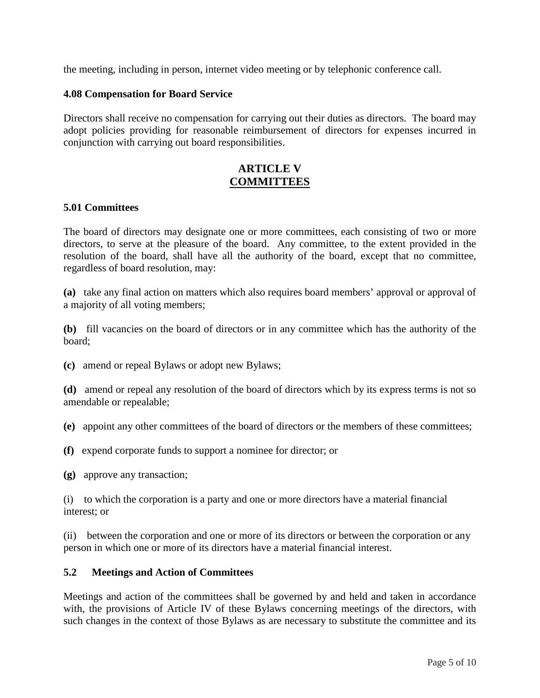the meeting, including in person, internet video meeting or by telephonic conference call.

#### **4.08 Compensation for Board Service**

Directors shall receive no compensation for carrying out their duties as directors. The board may adopt policies providing for reasonable reimbursement of directors for expenses incurred in conjunction with carrying out board responsibilities.

# **ARTICLE V COMMITTEES**

#### **5.01 Committees**

The board of directors may designate one or more committees, each consisting of two or more directors, to serve at the pleasure of the board. Any committee, to the extent provided in the resolution of the board, shall have all the authority of the board, except that no committee, regardless of board resolution, may:

**(a)** take any final action on matters which also requires board members' approval or approval of a majority of all voting members;

**(b)** fill vacancies on the board of directors or in any committee which has the authority of the board;

**(c)** amend or repeal Bylaws or adopt new Bylaws;

**(d)** amend or repeal any resolution of the board of directors which by its express terms is not so amendable or repealable;

**(e)** appoint any other committees of the board of directors or the members of these committees;

**(f)** expend corporate funds to support a nominee for director; or

**(g)** approve any transaction;

(i) to which the corporation is a party and one or more directors have a material financial interest; or

(ii) between the corporation and one or more of its directors or between the corporation or any person in which one or more of its directors have a material financial interest.

### **5.2 Meetings and Action of Committees**

Meetings and action of the committees shall be governed by and held and taken in accordance with, the provisions of Article IV of these Bylaws concerning meetings of the directors, with such changes in the context of those Bylaws as are necessary to substitute the committee and its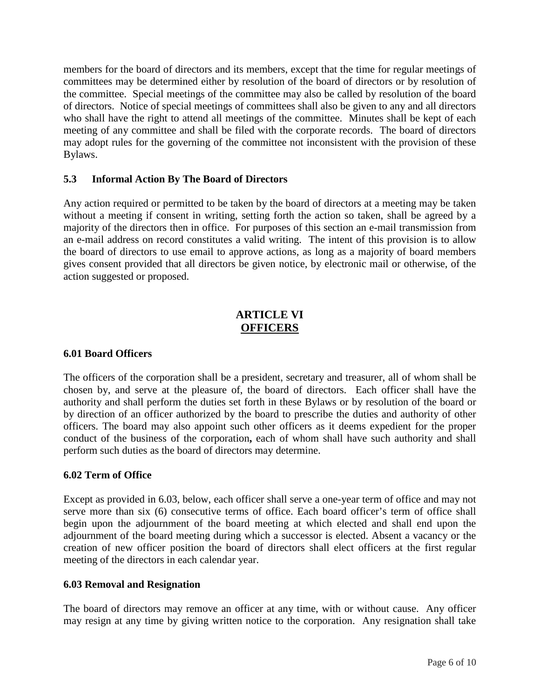members for the board of directors and its members, except that the time for regular meetings of committees may be determined either by resolution of the board of directors or by resolution of the committee. Special meetings of the committee may also be called by resolution of the board of directors. Notice of special meetings of committees shall also be given to any and all directors who shall have the right to attend all meetings of the committee. Minutes shall be kept of each meeting of any committee and shall be filed with the corporate records. The board of directors may adopt rules for the governing of the committee not inconsistent with the provision of these Bylaws.

### **5.3 Informal Action By The Board of Directors**

Any action required or permitted to be taken by the board of directors at a meeting may be taken without a meeting if consent in writing, setting forth the action so taken, shall be agreed by a majority of the directors then in office. For purposes of this section an e-mail transmission from an e-mail address on record constitutes a valid writing. The intent of this provision is to allow the board of directors to use email to approve actions, as long as a majority of board members gives consent provided that all directors be given notice, by electronic mail or otherwise, of the action suggested or proposed.

# **ARTICLE VI OFFICERS**

### **6.01 Board Officers**

The officers of the corporation shall be a president, secretary and treasurer, all of whom shall be chosen by, and serve at the pleasure of, the board of directors. Each officer shall have the authority and shall perform the duties set forth in these Bylaws or by resolution of the board or by direction of an officer authorized by the board to prescribe the duties and authority of other officers. The board may also appoint such other officers as it deems expedient for the proper conduct of the business of the corporation**,** each of whom shall have such authority and shall perform such duties as the board of directors may determine.

### **6.02 Term of Office**

Except as provided in 6.03, below, each officer shall serve a one-year term of office and may not serve more than six (6) consecutive terms of office. Each board officer's term of office shall begin upon the adjournment of the board meeting at which elected and shall end upon the adjournment of the board meeting during which a successor is elected. Absent a vacancy or the creation of new officer position the board of directors shall elect officers at the first regular meeting of the directors in each calendar year.

#### **6.03 Removal and Resignation**

The board of directors may remove an officer at any time, with or without cause. Any officer may resign at any time by giving written notice to the corporation. Any resignation shall take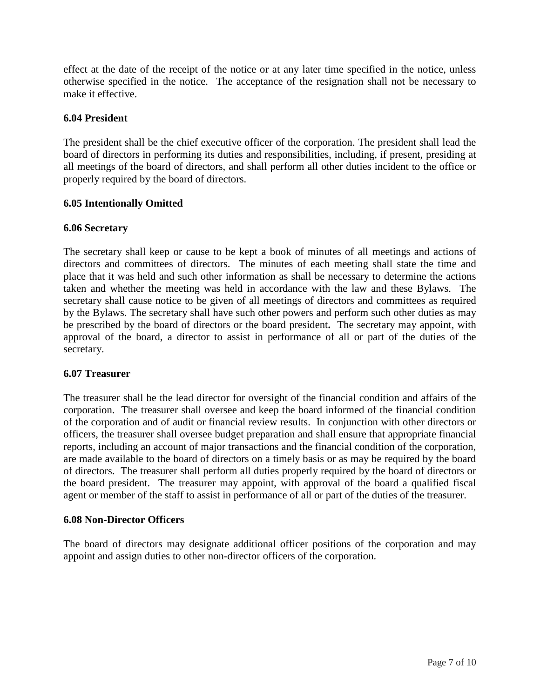effect at the date of the receipt of the notice or at any later time specified in the notice, unless otherwise specified in the notice. The acceptance of the resignation shall not be necessary to make it effective.

### **6.04 President**

The president shall be the chief executive officer of the corporation. The president shall lead the board of directors in performing its duties and responsibilities, including, if present, presiding at all meetings of the board of directors, and shall perform all other duties incident to the office or properly required by the board of directors.

### **6.05 Intentionally Omitted**

### **6.06 Secretary**

The secretary shall keep or cause to be kept a book of minutes of all meetings and actions of directors and committees of directors. The minutes of each meeting shall state the time and place that it was held and such other information as shall be necessary to determine the actions taken and whether the meeting was held in accordance with the law and these Bylaws. The secretary shall cause notice to be given of all meetings of directors and committees as required by the Bylaws. The secretary shall have such other powers and perform such other duties as may be prescribed by the board of directors or the board president**.** The secretary may appoint, with approval of the board, a director to assist in performance of all or part of the duties of the secretary.

### **6.07 Treasurer**

The treasurer shall be the lead director for oversight of the financial condition and affairs of the corporation. The treasurer shall oversee and keep the board informed of the financial condition of the corporation and of audit or financial review results. In conjunction with other directors or officers, the treasurer shall oversee budget preparation and shall ensure that appropriate financial reports, including an account of major transactions and the financial condition of the corporation, are made available to the board of directors on a timely basis or as may be required by the board of directors. The treasurer shall perform all duties properly required by the board of directors or the board president. The treasurer may appoint, with approval of the board a qualified fiscal agent or member of the staff to assist in performance of all or part of the duties of the treasurer.

### **6.08 Non-Director Officers**

The board of directors may designate additional officer positions of the corporation and may appoint and assign duties to other non-director officers of the corporation.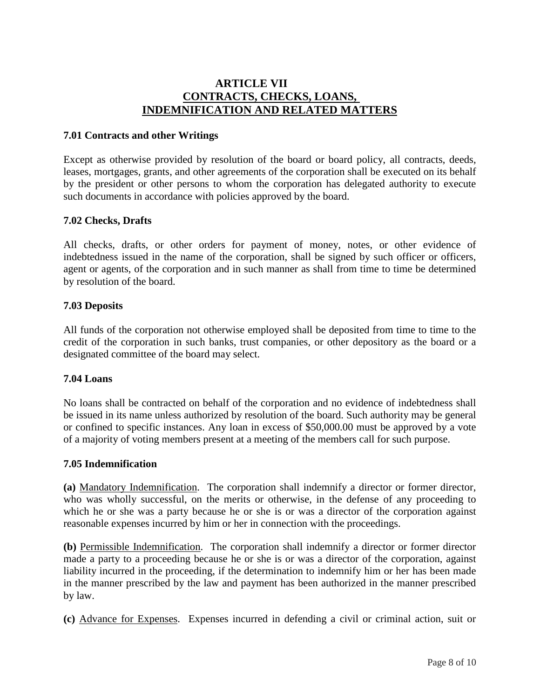# **ARTICLE VII CONTRACTS, CHECKS, LOANS, INDEMNIFICATION AND RELATED MATTERS**

### **7.01 Contracts and other Writings**

Except as otherwise provided by resolution of the board or board policy, all contracts, deeds, leases, mortgages, grants, and other agreements of the corporation shall be executed on its behalf by the president or other persons to whom the corporation has delegated authority to execute such documents in accordance with policies approved by the board.

### **7.02 Checks, Drafts**

All checks, drafts, or other orders for payment of money, notes, or other evidence of indebtedness issued in the name of the corporation, shall be signed by such officer or officers, agent or agents, of the corporation and in such manner as shall from time to time be determined by resolution of the board.

### **7.03 Deposits**

All funds of the corporation not otherwise employed shall be deposited from time to time to the credit of the corporation in such banks, trust companies, or other depository as the board or a designated committee of the board may select.

### **7.04 Loans**

No loans shall be contracted on behalf of the corporation and no evidence of indebtedness shall be issued in its name unless authorized by resolution of the board. Such authority may be general or confined to specific instances. Any loan in excess of \$50,000.00 must be approved by a vote of a majority of voting members present at a meeting of the members call for such purpose.

### **7.05 Indemnification**

**(a)** Mandatory Indemnification.The corporation shall indemnify a director or former director, who was wholly successful, on the merits or otherwise, in the defense of any proceeding to which he or she was a party because he or she is or was a director of the corporation against reasonable expenses incurred by him or her in connection with the proceedings.

**(b)** Permissible Indemnification.The corporation shall indemnify a director or former director made a party to a proceeding because he or she is or was a director of the corporation, against liability incurred in the proceeding, if the determination to indemnify him or her has been made in the manner prescribed by the law and payment has been authorized in the manner prescribed by law.

**(c)** Advance for Expenses.Expenses incurred in defending a civil or criminal action, suit or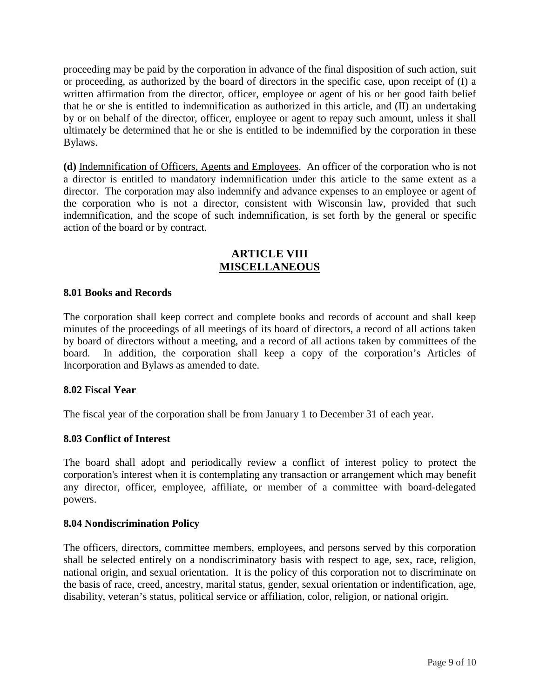proceeding may be paid by the corporation in advance of the final disposition of such action, suit or proceeding, as authorized by the board of directors in the specific case, upon receipt of (I) a written affirmation from the director, officer, employee or agent of his or her good faith belief that he or she is entitled to indemnification as authorized in this article, and (II) an undertaking by or on behalf of the director, officer, employee or agent to repay such amount, unless it shall ultimately be determined that he or she is entitled to be indemnified by the corporation in these Bylaws.

**(d)** Indemnification of Officers, Agents and Employees.An officer of the corporation who is not a director is entitled to mandatory indemnification under this article to the same extent as a director. The corporation may also indemnify and advance expenses to an employee or agent of the corporation who is not a director, consistent with Wisconsin law, provided that such indemnification, and the scope of such indemnification, is set forth by the general or specific action of the board or by contract.

### **ARTICLE VIII MISCELLANEOUS**

### **8.01 Books and Records**

The corporation shall keep correct and complete books and records of account and shall keep minutes of the proceedings of all meetings of its board of directors, a record of all actions taken by board of directors without a meeting, and a record of all actions taken by committees of the board. In addition, the corporation shall keep a copy of the corporation's Articles of Incorporation and Bylaws as amended to date.

### **8.02 Fiscal Year**

The fiscal year of the corporation shall be from January 1 to December 31 of each year.

### **8.03 Conflict of Interest**

The board shall adopt and periodically review a conflict of interest policy to protect the corporation's interest when it is contemplating any transaction or arrangement which may benefit any director, officer, employee, affiliate, or member of a committee with board-delegated powers.

### **8.04 Nondiscrimination Policy**

The officers, directors, committee members, employees, and persons served by this corporation shall be selected entirely on a nondiscriminatory basis with respect to age, sex, race, religion, national origin, and sexual orientation. It is the policy of this corporation not to discriminate on the basis of race, creed, ancestry, marital status, gender, sexual orientation or indentification, age, disability, veteran's status, political service or affiliation, color, religion, or national origin.